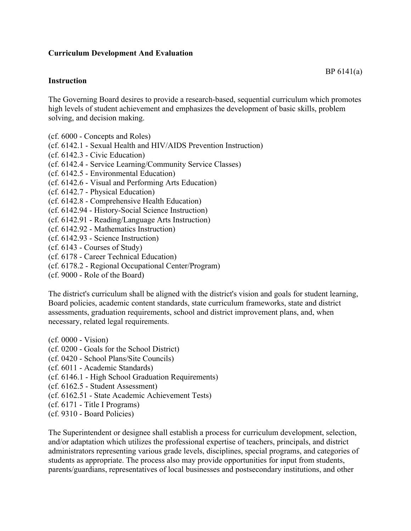## **Curriculum Development And Evaluation**

## **Instruction**

The Governing Board desires to provide a research-based, sequential curriculum which promotes high levels of student achievement and emphasizes the development of basic skills, problem solving, and decision making.

- (cf. 6000 Concepts and Roles)
- (cf. 6142.1 Sexual Health and HIV/AIDS Prevention Instruction)
- (cf. 6142.3 Civic Education)
- (cf. 6142.4 Service Learning/Community Service Classes)
- (cf. 6142.5 Environmental Education)
- (cf. 6142.6 Visual and Performing Arts Education)
- (cf. 6142.7 Physical Education)
- (cf. 6142.8 Comprehensive Health Education)
- (cf. 6142.94 History-Social Science Instruction)
- (cf. 6142.91 Reading/Language Arts Instruction)
- (cf. 6142.92 Mathematics Instruction)
- (cf. 6142.93 Science Instruction)
- (cf. 6143 Courses of Study)
- (cf. 6178 Career Technical Education)
- (cf. 6178.2 Regional Occupational Center/Program)
- (cf. 9000 Role of the Board)

The district's curriculum shall be aligned with the district's vision and goals for student learning, Board policies, academic content standards, state curriculum frameworks, state and district assessments, graduation requirements, school and district improvement plans, and, when necessary, related legal requirements.

(cf. 0000 - Vision) (cf. 0200 - Goals for the School District) (cf. 0420 - School Plans/Site Councils) (cf. 6011 - Academic Standards) (cf. 6146.1 - High School Graduation Requirements) (cf. 6162.5 - Student Assessment) (cf. 6162.51 - State Academic Achievement Tests) (cf. 6171 - Title I Programs) (cf. 9310 - Board Policies)

The Superintendent or designee shall establish a process for curriculum development, selection, and/or adaptation which utilizes the professional expertise of teachers, principals, and district administrators representing various grade levels, disciplines, special programs, and categories of students as appropriate. The process also may provide opportunities for input from students, parents/guardians, representatives of local businesses and postsecondary institutions, and other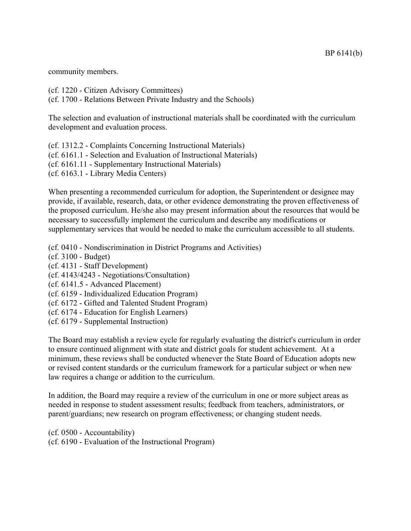community members.

(cf. 1220 - Citizen Advisory Committees) (cf. 1700 - Relations Between Private Industry and the Schools)

The selection and evaluation of instructional materials shall be coordinated with the curriculum development and evaluation process.

(cf. 1312.2 - Complaints Concerning Instructional Materials) (cf. 6161.1 - Selection and Evaluation of Instructional Materials) (cf. 6161.11 - Supplementary Instructional Materials) (cf. 6163.1 - Library Media Centers)

When presenting a recommended curriculum for adoption, the Superintendent or designee may provide, if available, research, data, or other evidence demonstrating the proven effectiveness of the proposed curriculum. He/she also may present information about the resources that would be necessary to successfully implement the curriculum and describe any modifications or supplementary services that would be needed to make the curriculum accessible to all students.

(cf. 0410 - Nondiscrimination in District Programs and Activities)

- (cf. 3100 Budget)
- (cf. 4131 Staff Development)
- (cf. 4143/4243 Negotiations/Consultation)
- (cf. 6141.5 Advanced Placement)
- (cf. 6159 Individualized Education Program)
- (cf. 6172 Gifted and Talented Student Program)
- (cf. 6174 Education for English Learners)
- (cf. 6179 Supplemental Instruction)

The Board may establish a review cycle for regularly evaluating the district's curriculum in order to ensure continued alignment with state and district goals for student achievement. At a minimum, these reviews shall be conducted whenever the State Board of Education adopts new or revised content standards or the curriculum framework for a particular subject or when new law requires a change or addition to the curriculum.

In addition, the Board may require a review of the curriculum in one or more subject areas as needed in response to student assessment results; feedback from teachers, administrators, or parent/guardians; new research on program effectiveness; or changing student needs.

(cf. 0500 - Accountability) (cf. 6190 - Evaluation of the Instructional Program)